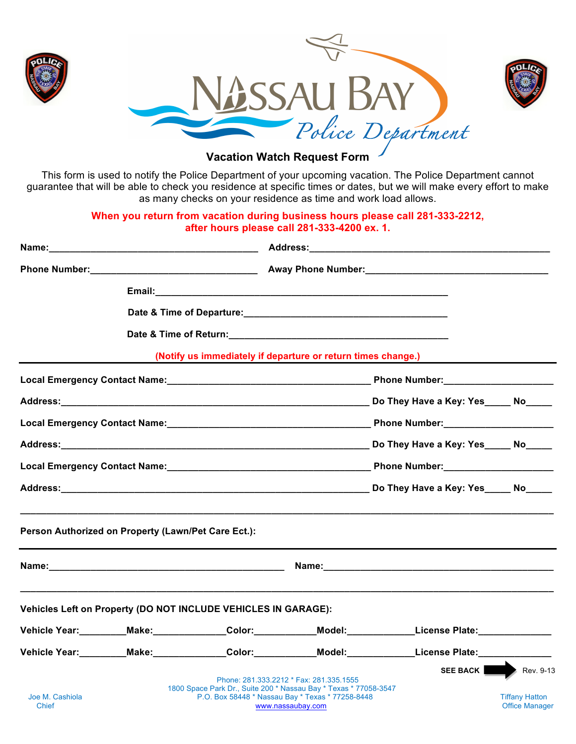

## **Vacation Watch Request Form**

This form is used to notify the Police Department of your upcoming vacation. The Police Department cannot guarantee that will be able to check you residence at specific times or dates, but we will make every effort to make as many checks on your residence as time and work load allows.

## **When you return from vacation during business hours please call 281-333-2212, after hours please call 281-333-4200 ex. 1.**

| Name:                    |                                                                |  |                                                                                                                                                                                      |                                                                                                           |                                                |
|--------------------------|----------------------------------------------------------------|--|--------------------------------------------------------------------------------------------------------------------------------------------------------------------------------------|-----------------------------------------------------------------------------------------------------------|------------------------------------------------|
|                          |                                                                |  |                                                                                                                                                                                      |                                                                                                           |                                                |
|                          |                                                                |  |                                                                                                                                                                                      |                                                                                                           |                                                |
|                          |                                                                |  |                                                                                                                                                                                      |                                                                                                           |                                                |
|                          |                                                                |  |                                                                                                                                                                                      |                                                                                                           |                                                |
|                          |                                                                |  | (Notify us immediately if departure or return times change.)                                                                                                                         |                                                                                                           |                                                |
|                          |                                                                |  |                                                                                                                                                                                      |                                                                                                           |                                                |
|                          |                                                                |  |                                                                                                                                                                                      |                                                                                                           |                                                |
|                          |                                                                |  |                                                                                                                                                                                      |                                                                                                           |                                                |
|                          |                                                                |  |                                                                                                                                                                                      |                                                                                                           |                                                |
|                          |                                                                |  |                                                                                                                                                                                      |                                                                                                           |                                                |
|                          |                                                                |  |                                                                                                                                                                                      |                                                                                                           |                                                |
|                          |                                                                |  |                                                                                                                                                                                      |                                                                                                           |                                                |
|                          | Vehicles Left on Property (DO NOT INCLUDE VEHICLES IN GARAGE): |  |                                                                                                                                                                                      |                                                                                                           |                                                |
|                          |                                                                |  |                                                                                                                                                                                      | Vehicle Year:_________Make:______________Color:____________Model:_____________License Plate:_____________ |                                                |
|                          |                                                                |  |                                                                                                                                                                                      | Vehicle Year:_________Make:______________Color:___________Model:____________License Plate:______________  |                                                |
|                          |                                                                |  |                                                                                                                                                                                      |                                                                                                           | SEE BACK Rev. 9-13                             |
| Joe M. Cashiola<br>Chief |                                                                |  | Phone: 281.333.2212 * Fax: 281.335.1555<br>1800 Space Park Dr., Suite 200 * Nassau Bay * Texas * 77058-3547<br>P.O. Box 58448 * Nassau Bay * Texas * 77258-8448<br>www.nassaubay.com |                                                                                                           | <b>Tiffany Hatton</b><br><b>Office Manager</b> |